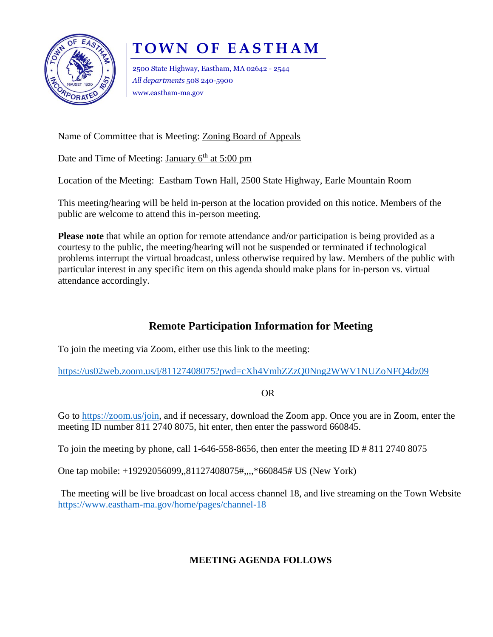

## **T O W N O F E A S T H A M**

2500 State Highway, Eastham, MA 02642 - 2544 *All departments* 508 240-5900 www.eastham-ma.gov

Name of Committee that is Meeting: Zoning Board of Appeals

Date and Time of Meeting: January  $6<sup>th</sup>$  at 5:00 pm

Location of the Meeting: Eastham Town Hall, 2500 State Highway, Earle Mountain Room

This meeting/hearing will be held in-person at the location provided on this notice. Members of the public are welcome to attend this in-person meeting.

**Please note** that while an option for remote attendance and/or participation is being provided as a courtesy to the public, the meeting/hearing will not be suspended or terminated if technological problems interrupt the virtual broadcast, unless otherwise required by law. Members of the public with particular interest in any specific item on this agenda should make plans for in-person vs. virtual attendance accordingly.

## **Remote Participation Information for Meeting**

To join the meeting via Zoom, either use this link to the meeting:

<https://us02web.zoom.us/j/81127408075?pwd=cXh4VmhZZzQ0Nng2WWV1NUZoNFQ4dz09>

OR

Go to [https://zoom.us/join,](https://zoom.us/join) and if necessary, download the Zoom app. Once you are in Zoom, enter the meeting ID number 811 2740 8075, hit enter, then enter the password 660845.

To join the meeting by phone, call 1-646-558-8656, then enter the meeting ID  $\#$  811 2740 8075

One tap mobile: +19292056099,,81127408075#,,,,\*660845# US (New York)

The meeting will be live broadcast on local access channel 18, and live streaming on the Town Website <https://www.eastham-ma.gov/home/pages/channel-18>

## **MEETING AGENDA FOLLOWS**